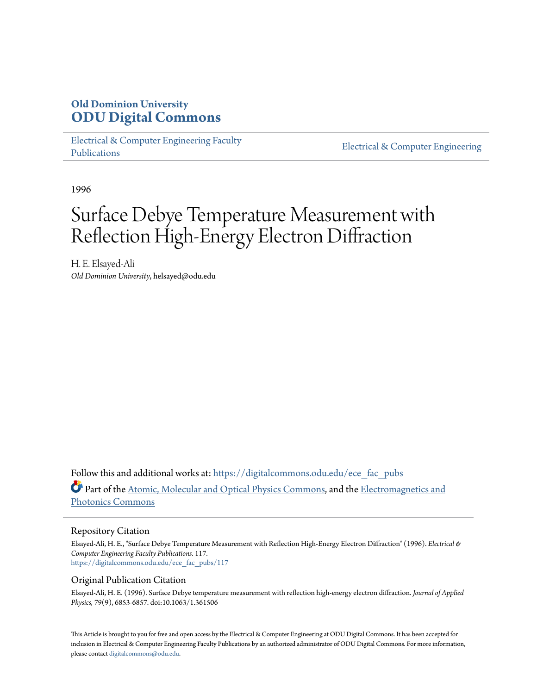## **Old Dominion University [ODU Digital Commons](https://digitalcommons.odu.edu?utm_source=digitalcommons.odu.edu%2Fece_fac_pubs%2F117&utm_medium=PDF&utm_campaign=PDFCoverPages)**

[Electrical & Computer Engineering Faculty](https://digitalcommons.odu.edu/ece_fac_pubs?utm_source=digitalcommons.odu.edu%2Fece_fac_pubs%2F117&utm_medium=PDF&utm_campaign=PDFCoverPages) [Publications](https://digitalcommons.odu.edu/ece_fac_pubs?utm_source=digitalcommons.odu.edu%2Fece_fac_pubs%2F117&utm_medium=PDF&utm_campaign=PDFCoverPages)

[Electrical & Computer Engineering](https://digitalcommons.odu.edu/ece?utm_source=digitalcommons.odu.edu%2Fece_fac_pubs%2F117&utm_medium=PDF&utm_campaign=PDFCoverPages)

1996

# Surface Debye Temperature Measurement with Reflection High-Energy Electron Diffraction

H. E. Elsayed-Ali *Old Dominion University*, helsayed@odu.edu

Follow this and additional works at: [https://digitalcommons.odu.edu/ece\\_fac\\_pubs](https://digitalcommons.odu.edu/ece_fac_pubs?utm_source=digitalcommons.odu.edu%2Fece_fac_pubs%2F117&utm_medium=PDF&utm_campaign=PDFCoverPages) Part of the [Atomic, Molecular and Optical Physics Commons,](http://network.bepress.com/hgg/discipline/195?utm_source=digitalcommons.odu.edu%2Fece_fac_pubs%2F117&utm_medium=PDF&utm_campaign=PDFCoverPages) and the [Electromagnetics and](http://network.bepress.com/hgg/discipline/271?utm_source=digitalcommons.odu.edu%2Fece_fac_pubs%2F117&utm_medium=PDF&utm_campaign=PDFCoverPages) [Photonics Commons](http://network.bepress.com/hgg/discipline/271?utm_source=digitalcommons.odu.edu%2Fece_fac_pubs%2F117&utm_medium=PDF&utm_campaign=PDFCoverPages)

#### Repository Citation

Elsayed-Ali, H. E., "Surface Debye Temperature Measurement with Reflection High-Energy Electron Diffraction" (1996). *Electrical & Computer Engineering Faculty Publications*. 117. [https://digitalcommons.odu.edu/ece\\_fac\\_pubs/117](https://digitalcommons.odu.edu/ece_fac_pubs/117?utm_source=digitalcommons.odu.edu%2Fece_fac_pubs%2F117&utm_medium=PDF&utm_campaign=PDFCoverPages)

#### Original Publication Citation

Elsayed-Ali, H. E. (1996). Surface Debye temperature measurement with reflection high-energy electron diffraction. *Journal of Applied Physics, 79*(9), 6853-6857. doi:10.1063/1.361506

This Article is brought to you for free and open access by the Electrical & Computer Engineering at ODU Digital Commons. It has been accepted for inclusion in Electrical & Computer Engineering Faculty Publications by an authorized administrator of ODU Digital Commons. For more information, please contact [digitalcommons@odu.edu](mailto:digitalcommons@odu.edu).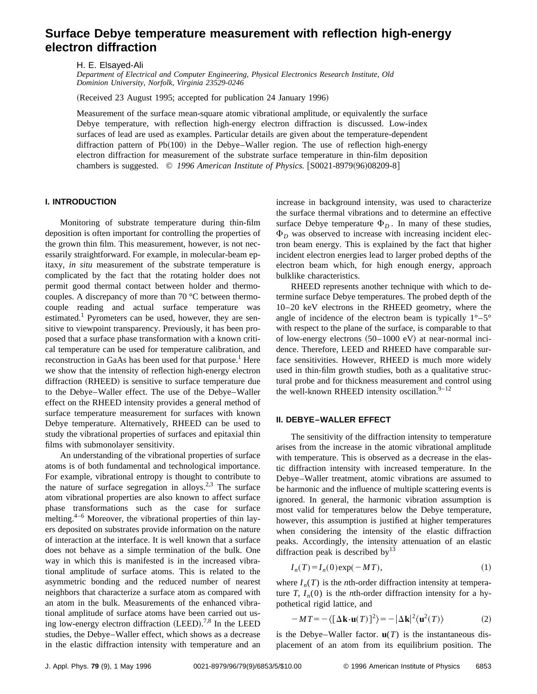### **Surface Debye temperature measurement with reflection high-energy electron diffraction**

H. E. Elsayed-Ali

*Department of Electrical and Computer Engineering, Physical Electronics Research Institute, Old Dominion University, Norfolk, Virginia 23529-0246*

(Received 23 August 1995; accepted for publication 24 January 1996)

Measurement of the surface mean-square atomic vibrational amplitude, or equivalently the surface Debye temperature, with reflection high-energy electron diffraction is discussed. Low-index surfaces of lead are used as examples. Particular details are given about the temperature-dependent diffraction pattern of  $Pb(100)$  in the Debye–Waller region. The use of reflection high-energy electron diffraction for measurement of the substrate surface temperature in thin-film deposition chambers is suggested.  $\odot$  1996 American Institute of Physics.  $\vert$ S0021-8979(96)08209-8  $\vert$ 

#### **I. INTRODUCTION**

Monitoring of substrate temperature during thin-film deposition is often important for controlling the properties of the grown thin film. This measurement, however, is not necessarily straightforward. For example, in molecular-beam epitaxy, *in situ* measurement of the substrate temperature is complicated by the fact that the rotating holder does not permit good thermal contact between holder and thermocouples. A discrepancy of more than 70 °C between thermocouple reading and actual surface temperature was estimated.<sup>1</sup> Pyrometers can be used, however, they are sensitive to viewpoint transparency. Previously, it has been proposed that a surface phase transformation with a known critical temperature can be used for temperature calibration, and reconstruction in GaAs has been used for that purpose.<sup>1</sup> Here we show that the intensity of reflection high-energy electron diffraction (RHEED) is sensitive to surface temperature due to the Debye–Waller effect. The use of the Debye–Waller effect on the RHEED intensity provides a general method of surface temperature measurement for surfaces with known Debye temperature. Alternatively, RHEED can be used to study the vibrational properties of surfaces and epitaxial thin films with submonolayer sensitivity.

An understanding of the vibrational properties of surface atoms is of both fundamental and technological importance. For example, vibrational entropy is thought to contribute to the nature of surface segregation in alloys.<sup>2,3</sup> The surface atom vibrational properties are also known to affect surface phase transformations such as the case for surface melting. $4-6$  Moreover, the vibrational properties of thin layers deposited on substrates provide information on the nature of interaction at the interface. It is well known that a surface does not behave as a simple termination of the bulk. One way in which this is manifested is in the increased vibrational amplitude of surface atoms. This is related to the asymmetric bonding and the reduced number of nearest neighbors that characterize a surface atom as compared with an atom in the bulk. Measurements of the enhanced vibrational amplitude of surface atoms have been carried out using low-energy electron diffraction  $(LEED).^{7,8}$  In the LEED studies, the Debye–Waller effect, which shows as a decrease in the elastic diffraction intensity with temperature and an increase in background intensity, was used to characterize the surface thermal vibrations and to determine an effective surface Debye temperature  $\Phi_D$ . In many of these studies,  $\Phi_D$  was observed to increase with increasing incident electron beam energy. This is explained by the fact that higher incident electron energies lead to larger probed depths of the electron beam which, for high enough energy, approach bulklike characteristics.

RHEED represents another technique with which to determine surface Debye temperatures. The probed depth of the 10–20 keV electrons in the RHEED geometry, where the angle of incidence of the electron beam is typically  $1^{\circ}$ –5° with respect to the plane of the surface, is comparable to that of low-energy electrons  $(50-1000 \text{ eV})$  at near-normal incidence. Therefore, LEED and RHEED have comparable surface sensitivities. However, RHEED is much more widely used in thin-film growth studies, both as a qualitative structural probe and for thickness measurement and control using the well-known RHEED intensity oscillation. $9-12$ 

#### **II. DEBYE–WALLER EFFECT**

The sensitivity of the diffraction intensity to temperature arises from the increase in the atomic vibrational amplitude with temperature. This is observed as a decrease in the elastic diffraction intensity with increased temperature. In the Debye–Waller treatment, atomic vibrations are assumed to be harmonic and the influence of multiple scattering events is ignored. In general, the harmonic vibration assumption is most valid for temperatures below the Debye temperature, however, this assumption is justified at higher temperatures when considering the intensity of the elastic diffraction peaks. Accordingly, the intensity attenuation of an elastic diffraction peak is described by  $13$ 

$$
I_n(T) = I_n(0) \exp(-MT), \tag{1}
$$

where  $I_n(T)$  is the *n*th-order diffraction intensity at temperature *T*,  $I_n(0)$  is the *n*th-order diffraction intensity for a hypothetical rigid lattice, and

$$
-MT = -\langle [\Delta \mathbf{k} \cdot \mathbf{u}(T)]^2 \rangle = -|\Delta \mathbf{k}|^2 \langle \mathbf{u}^2(T) \rangle \tag{2}
$$

is the Debye–Waller factor.  $\mathbf{u}(T)$  is the instantaneous displacement of an atom from its equilibrium position. The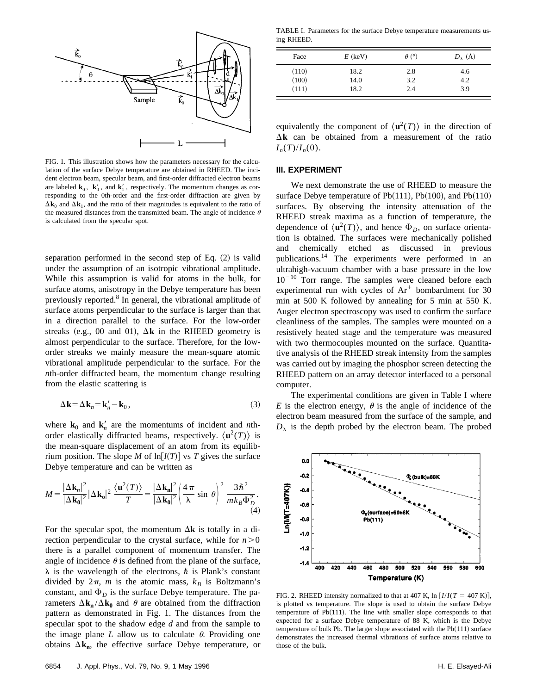

FIG. 1. This illustration shows how the parameters necessary for the calculation of the surface Debye temperature are obtained in RHEED. The incident electron beam, specular beam, and first-order diffracted electron beams are labeled  $\mathbf{k}_0$ ,  $\mathbf{k}'_0$ , and  $\mathbf{k}'_1$ , respectively. The momentum changes as corresponding to the 0th-order and the first-order diffraction are given by  $\Delta$ **k**<sub>0</sub> and  $\Delta$ **k**<sub>1</sub>, and the ratio of their magnitudes is equivalent to the ratio of the measured distances from the transmitted beam. The angle of incidence  $\theta$ is calculated from the specular spot.

separation performed in the second step of Eq.  $(2)$  is valid under the assumption of an isotropic vibrational amplitude. While this assumption is valid for atoms in the bulk, for surface atoms, anisotropy in the Debye temperature has been previously reported.<sup>8</sup> In general, the vibrational amplitude of surface atoms perpendicular to the surface is larger than that in a direction parallel to the surface. For the low-order streaks (e.g., 00 and 01),  $\Delta$ **k** in the RHEED geometry is almost perpendicular to the surface. Therefore, for the loworder streaks we mainly measure the mean-square atomic vibrational amplitude perpendicular to the surface. For the *n*th-order diffracted beam, the momentum change resulting from the elastic scattering is

$$
\Delta \mathbf{k} = \Delta \mathbf{k}_n = \mathbf{k}'_n - \mathbf{k}_0,\tag{3}
$$

where  $\mathbf{k}_0$  and  $\mathbf{k}'_n$  are the momentums of incident and *n*thorder elastically diffracted beams, respectively.  $\langle \mathbf{u}^2(T) \rangle$  is the mean-square displacement of an atom from its equilibrium position. The slope *M* of  $\ln[I(T)]$  vs *T* gives the surface Debye temperature and can be written as

$$
M = \frac{|\Delta \mathbf{k}_n|^2}{|\Delta \mathbf{k}_0|^2} |\Delta \mathbf{k}_0|^2 \frac{\langle \mathbf{u}^2(T) \rangle}{T} = \frac{|\Delta \mathbf{k}_n|^2}{|\Delta \mathbf{k}_0|^2} \left( \frac{4\pi}{\lambda} \sin \theta \right)^2 \frac{3\hbar^2}{mk_B \Phi_D^2}.
$$
\n(4)

For the specular spot, the momentum  $\Delta \mathbf{k}$  is totally in a direction perpendicular to the crystal surface, while for  $n > 0$ there is a parallel component of momentum transfer. The angle of incidence  $\theta$  is defined from the plane of the surface,  $\lambda$  is the wavelength of the electrons,  $\hbar$  is Plank's constant divided by  $2\pi$ , *m* is the atomic mass,  $k_B$  is Boltzmann's constant, and  $\Phi_D$  is the surface Debye temperature. The parameters  $\Delta \mathbf{k}_n / \Delta \mathbf{k}_0$  and  $\theta$  are obtained from the diffraction pattern as demonstrated in Fig. 1. The distances from the specular spot to the shadow edge *d* and from the sample to the image plane  $L$  allow us to calculate  $\theta$ . Providing one obtains  $\Delta \mathbf{k}_n$ , the effective surface Debye temperature, or

TABLE I. Parameters for the surface Debye temperature measurements using RHEED.

| Face  | $E$ (keV) | $\theta$ (°) | $D_{\lambda}(\AA)$ |
|-------|-----------|--------------|--------------------|
| (110) | 18.2      | 2.8          | 4.6                |
| (100) | 14.0      | 3.2          | 4.2                |
| (111) | 18.2      | 2.4          | 3.9                |

equivalently the component of  $\langle \mathbf{u}^2(T) \rangle$  in the direction of  $\Delta$ **k** can be obtained from a measurement of the ratio  $I_n(T)/I_n(0)$ .

#### **III. EXPERIMENT**

We next demonstrate the use of RHEED to measure the surface Debye temperature of Pb $(111)$ , Pb $(100)$ , and Pb $(110)$ surfaces. By observing the intensity attenuation of the RHEED streak maxima as a function of temperature, the dependence of  $\langle \mathbf{u}^2(T) \rangle$ , and hence  $\Phi_D$ , on surface orientation is obtained. The surfaces were mechanically polished and chemically etched as discussed in previous publications.14 The experiments were performed in an ultrahigh-vacuum chamber with a base pressure in the low  $10^{-10}$  Torr range. The samples were cleaned before each experimental run with cycles of  $Ar^+$  bombardment for 30 min at 500 K followed by annealing for 5 min at 550 K. Auger electron spectroscopy was used to confirm the surface cleanliness of the samples. The samples were mounted on a resistively heated stage and the temperature was measured with two thermocouples mounted on the surface. Quantitative analysis of the RHEED streak intensity from the samples was carried out by imaging the phosphor screen detecting the RHEED pattern on an array detector interfaced to a personal computer.

The experimental conditions are given in Table I where *E* is the electron energy,  $\theta$  is the angle of incidence of the electron beam measured from the surface of the sample, and  $D_{\lambda}$  is the depth probed by the electron beam. The probed



FIG. 2. RHEED intensity normalized to that at 407 K,  $\ln [I/I(T = 407 \text{ K})]$ , is plotted vs temperature. The slope is used to obtain the surface Debye temperature of  $Pb(111)$ . The line with smaller slope corresponds to that expected for a surface Debye temperature of 88 K, which is the Debye temperature of bulk Pb. The larger slope associated with the  $Pb(111)$  surface demonstrates the increased thermal vibrations of surface atoms relative to those of the bulk.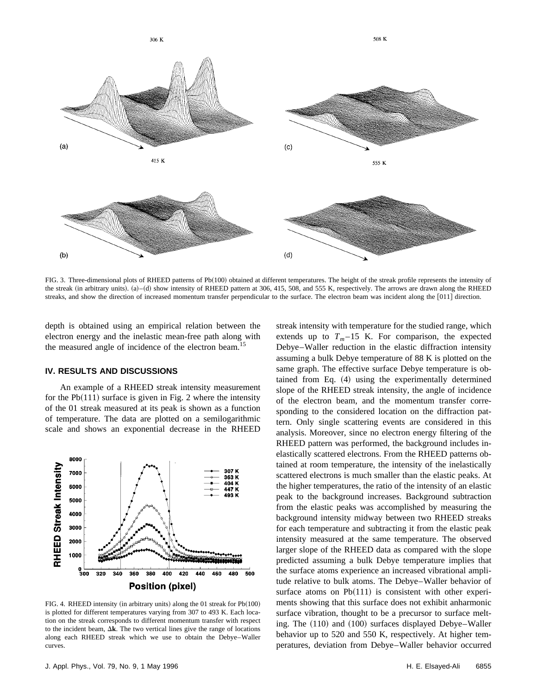

FIG. 3. Three-dimensional plots of RHEED patterns of Pb(100) obtained at different temperatures. The height of the streak profile represents the intensity of the streak (in arbitrary units). (a)–(d) show intensity of RHEED pattern at 306, 415, 508, and 555 K, respectively. The arrows are drawn along the RHEED streaks, and show the direction of increased momentum transfer perpendicular to the surface. The electron beam was incident along the [011] direction.

depth is obtained using an empirical relation between the electron energy and the inelastic mean-free path along with the measured angle of incidence of the electron beam.<sup>15</sup>

#### **IV. RESULTS AND DISCUSSIONS**

An example of a RHEED streak intensity measurement for the  $Pb(111)$  surface is given in Fig. 2 where the intensity of the 01 streak measured at its peak is shown as a function of temperature. The data are plotted on a semilogarithmic scale and shows an exponential decrease in the RHEED



FIG. 4. RHEED intensity (in arbitrary units) along the 01 streak for  $Pb(100)$ is plotted for different temperatures varying from 307 to 493 K. Each location on the streak corresponds to different momentum transfer with respect to the incident beam,  $\Delta$ **k**. The two vertical lines give the range of locations along each RHEED streak which we use to obtain the Debye–Waller curves.

streak intensity with temperature for the studied range, which extends up to  $T_m-15$  K. For comparison, the expected Debye–Waller reduction in the elastic diffraction intensity assuming a bulk Debye temperature of 88 K is plotted on the same graph. The effective surface Debye temperature is obtained from Eq.  $(4)$  using the experimentally determined slope of the RHEED streak intensity, the angle of incidence of the electron beam, and the momentum transfer corresponding to the considered location on the diffraction pattern. Only single scattering events are considered in this analysis. Moreover, since no electron energy filtering of the RHEED pattern was performed, the background includes inelastically scattered electrons. From the RHEED patterns obtained at room temperature, the intensity of the inelastically scattered electrons is much smaller than the elastic peaks. At the higher temperatures, the ratio of the intensity of an elastic peak to the background increases. Background subtraction from the elastic peaks was accomplished by measuring the background intensity midway between two RHEED streaks for each temperature and subtracting it from the elastic peak intensity measured at the same temperature. The observed larger slope of the RHEED data as compared with the slope predicted assuming a bulk Debye temperature implies that the surface atoms experience an increased vibrational amplitude relative to bulk atoms. The Debye–Waller behavior of surface atoms on  $Pb(111)$  is consistent with other experiments showing that this surface does not exhibit anharmonic surface vibration, thought to be a precursor to surface melting. The  $(110)$  and  $(100)$  surfaces displayed Debye–Waller behavior up to 520 and 550 K, respectively. At higher temperatures, deviation from Debye–Waller behavior occurred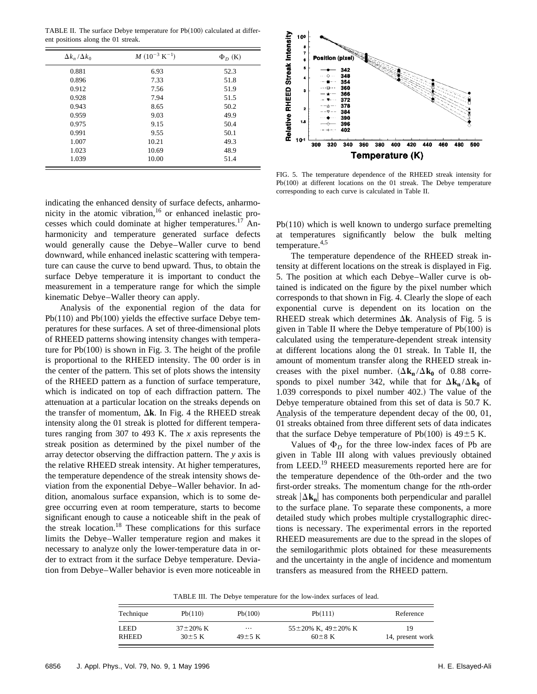TABLE II. The surface Debye temperature for  $Pb(100)$  calculated at different positions along the 01 streak.

| $\Delta k_n/\Delta k_0$ | $M$ (10 <sup>-3</sup> K <sup>-1</sup> ) | $\Phi_D$ (K) |
|-------------------------|-----------------------------------------|--------------|
| 0.881                   | 6.93                                    | 52.3         |
| 0.896                   | 7.33                                    | 51.8         |
| 0.912                   | 7.56                                    | 51.9         |
| 0.928                   | 7.94                                    | 51.5         |
| 0.943                   | 8.65                                    | 50.2         |
| 0.959                   | 9.03                                    | 49.9         |
| 0.975                   | 9.15                                    | 50.4         |
| 0.991                   | 9.55                                    | 50.1         |
| 1.007                   | 10.21                                   | 49.3         |
| 1.023                   | 10.69                                   | 48.9         |
| 1.039                   | 10.00                                   | 51.4         |



FIG. 5. The temperature dependence of the RHEED streak intensity for Pb $(100)$  at different locations on the 01 streak. The Debye temperature corresponding to each curve is calculated in Table II.

indicating the enhanced density of surface defects, anharmonicity in the atomic vibration,<sup>16</sup> or enhanced inelastic processes which could dominate at higher temperatures.<sup>17</sup> Anharmonicity and temperature generated surface defects would generally cause the Debye–Waller curve to bend downward, while enhanced inelastic scattering with temperature can cause the curve to bend upward. Thus, to obtain the surface Debye temperature it is important to conduct the measurement in a temperature range for which the simple kinematic Debye–Waller theory can apply.

Analysis of the exponential region of the data for  $Pb(110)$  and  $Pb(100)$  yields the effective surface Debye temperatures for these surfaces. A set of three-dimensional plots of RHEED patterns showing intensity changes with temperature for  $Pb(100)$  is shown in Fig. 3. The height of the profile is proportional to the RHEED intensity. The 00 order is in the center of the pattern. This set of plots shows the intensity of the RHEED pattern as a function of surface temperature, which is indicated on top of each diffraction pattern. The attenuation at a particular location on the streaks depends on the transfer of momentum,  $\Delta$ **k**. In Fig. 4 the RHEED streak intensity along the 01 streak is plotted for different temperatures ranging from 307 to 493 K. The *x* axis represents the streak position as determined by the pixel number of the array detector observing the diffraction pattern. The *y* axis is the relative RHEED streak intensity. At higher temperatures, the temperature dependence of the streak intensity shows deviation from the exponential Debye–Waller behavior. In addition, anomalous surface expansion, which is to some degree occurring even at room temperature, starts to become significant enough to cause a noticeable shift in the peak of the streak location.<sup>18</sup> These complications for this surface limits the Debye–Waller temperature region and makes it necessary to analyze only the lower-temperature data in order to extract from it the surface Debye temperature. Deviation from Debye–Waller behavior is even more noticeable in  $Pb(110)$  which is well known to undergo surface premelting at temperatures significantly below the bulk melting temperature.4,5

The temperature dependence of the RHEED streak intensity at different locations on the streak is displayed in Fig. 5. The position at which each Debye–Waller curve is obtained is indicated on the figure by the pixel number which corresponds to that shown in Fig. 4. Clearly the slope of each exponential curve is dependent on its location on the RHEED streak which determines  $\Delta$ **k**. Analysis of Fig. 5 is given in Table II where the Debye temperature of  $Pb(100)$  is calculated using the temperature-dependent streak intensity at different locations along the 01 streak. In Table II, the amount of momentum transfer along the RHEED streak increases with the pixel number.  $(\Delta \mathbf{k}_n / \Delta \mathbf{k}_0)$  of 0.88 corresponds to pixel number 342, while that for  $\Delta \mathbf{k}_n / \Delta \mathbf{k}_0$  of 1.039 corresponds to pixel number 402.) The value of the Debye temperature obtained from this set of data is 50.7 K. Analysis of the temperature dependent decay of the 00, 01, 01 streaks obtained from three different sets of data indicates that the surface Debye temperature of Pb $(100)$  is 49 $\pm$ 5 K.

Values of  $\Phi_D$  for the three low-index faces of Pb are given in Table III along with values previously obtained from LEED.<sup>19</sup> RHEED measurements reported here are for the temperature dependence of the 0th-order and the two first-order streaks. The momentum change for the *n*th-order streak  $|\Delta{\bf k_n}|$  has components both perpendicular and parallel to the surface plane. To separate these components, a more detailed study which probes multiple crystallographic directions is necessary. The experimental errors in the reported RHEED measurements are due to the spread in the slopes of the semilogarithmic plots obtained for these measurements and the uncertainty in the angle of incidence and momentum transfers as measured from the RHEED pattern.

TABLE III. The Debye temperature for the low-index surfaces of lead.

| Technique    | Pb(110)         | Pb(100)              | Pb(111)                      | Reference        |
|--------------|-----------------|----------------------|------------------------------|------------------|
| LEED         | $37 \pm 20\%$ K | $\cdots$             | $55\pm20\%$ K, $49\pm20\%$ K | 19               |
| <b>RHEED</b> | $30\pm5$ K      | $49 \pm 5 \text{ K}$ | $60\pm8$ K                   | 14, present work |